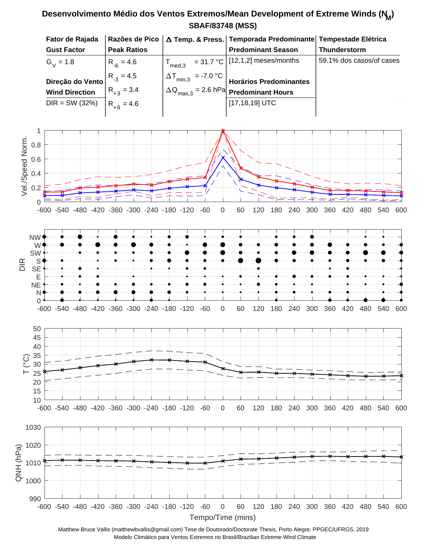## **SBAF/83748 (MSS) Desenvolvimento Médio dos Ventos Extremos/Mean Development of Extreme Winds (N<sup>M</sup> )**



Matthew Bruce Vallis (matthewbvallis@gmail.com) Tese de Doutorado/Doctorate Thesis, Porto Alegre: PPGEC/UFRGS, 2019 Modelo Climático para Ventos Extremos no Brasil/Brazilian Extreme Wind Climate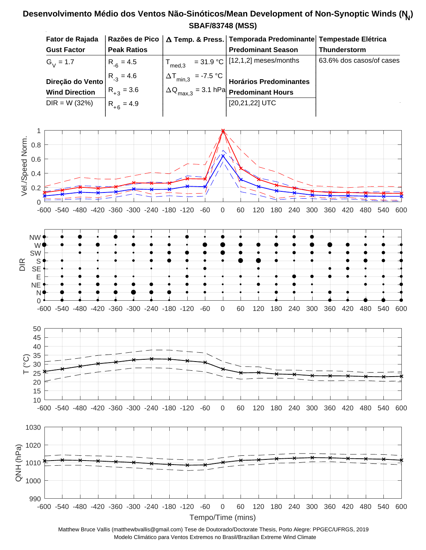## **SBAF/83748 (MSS) Desenvolvimento Médio dos Ventos Não-Sinóticos/Mean Development of Non-Synoptic Winds (N<sup>N</sup> )**



Matthew Bruce Vallis (matthewbvallis@gmail.com) Tese de Doutorado/Doctorate Thesis, Porto Alegre: PPGEC/UFRGS, 2019 Modelo Climático para Ventos Extremos no Brasil/Brazilian Extreme Wind Climate